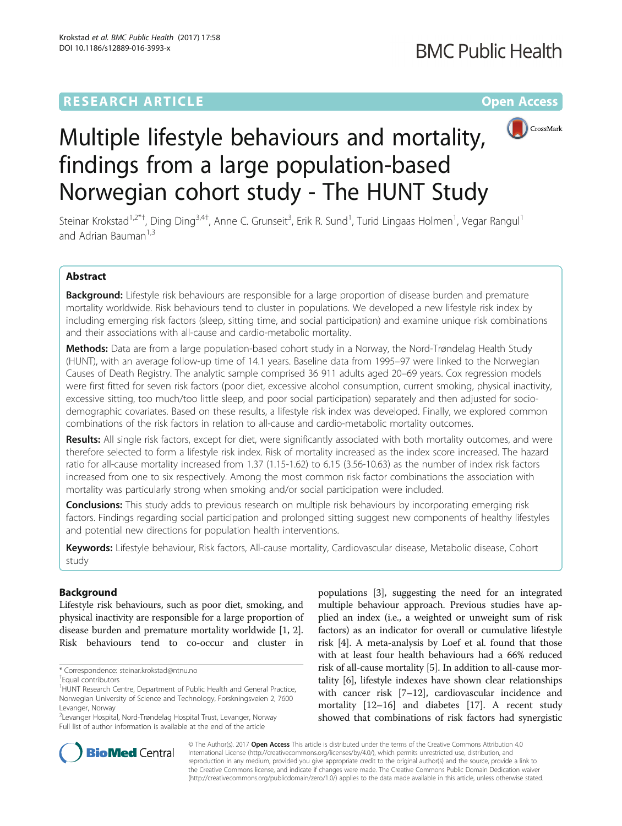## **RESEARCH ARTICLE Example 2014 12:30 The Contract of Contract ACCESS**



# Multiple lifestyle behaviours and mortality, findings from a large population-based Norwegian cohort study - The HUNT Study

Steinar Krokstad<sup>1,2\*†</sup>, Ding Ding<sup>3,4†</sup>, Anne C. Grunseit<sup>3</sup>, Erik R. Sund<sup>1</sup>, Turid Lingaas Holmen<sup>1</sup>, Vegar Rangul<sup>1</sup> and Adrian Bauman $1,3$ 

## Abstract

Background: Lifestyle risk behaviours are responsible for a large proportion of disease burden and premature mortality worldwide. Risk behaviours tend to cluster in populations. We developed a new lifestyle risk index by including emerging risk factors (sleep, sitting time, and social participation) and examine unique risk combinations and their associations with all-cause and cardio-metabolic mortality.

Methods: Data are from a large population-based cohort study in a Norway, the Nord-Trøndelag Health Study (HUNT), with an average follow-up time of 14.1 years. Baseline data from 1995–97 were linked to the Norwegian Causes of Death Registry. The analytic sample comprised 36 911 adults aged 20–69 years. Cox regression models were first fitted for seven risk factors (poor diet, excessive alcohol consumption, current smoking, physical inactivity, excessive sitting, too much/too little sleep, and poor social participation) separately and then adjusted for sociodemographic covariates. Based on these results, a lifestyle risk index was developed. Finally, we explored common combinations of the risk factors in relation to all-cause and cardio-metabolic mortality outcomes.

Results: All single risk factors, except for diet, were significantly associated with both mortality outcomes, and were therefore selected to form a lifestyle risk index. Risk of mortality increased as the index score increased. The hazard ratio for all-cause mortality increased from 1.37 (1.15-1.62) to 6.15 (3.56-10.63) as the number of index risk factors increased from one to six respectively. Among the most common risk factor combinations the association with mortality was particularly strong when smoking and/or social participation were included.

**Conclusions:** This study adds to previous research on multiple risk behaviours by incorporating emerging risk factors. Findings regarding social participation and prolonged sitting suggest new components of healthy lifestyles and potential new directions for population health interventions.

Keywords: Lifestyle behaviour, Risk factors, All-cause mortality, Cardiovascular disease, Metabolic disease, Cohort study

## Background

Lifestyle risk behaviours, such as poor diet, smoking, and physical inactivity are responsible for a large proportion of disease burden and premature mortality worldwide [\[1](#page-6-0), [2](#page-6-0)]. Risk behaviours tend to co-occur and cluster in

2 Levanger Hospital, Nord-Trøndelag Hospital Trust, Levanger, Norway Full list of author information is available at the end of the article

populations [\[3](#page-6-0)], suggesting the need for an integrated multiple behaviour approach. Previous studies have applied an index (i.e., a weighted or unweight sum of risk factors) as an indicator for overall or cumulative lifestyle risk [[4](#page-6-0)]. A meta-analysis by Loef et al. found that those with at least four health behaviours had a 66% reduced risk of all-cause mortality [\[5](#page-6-0)]. In addition to all-cause mortality [\[6](#page-6-0)], lifestyle indexes have shown clear relationships with cancer risk [[7](#page-6-0)–[12\]](#page-6-0), cardiovascular incidence and mortality [\[12](#page-6-0)–[16](#page-7-0)] and diabetes [[17](#page-7-0)]. A recent study showed that combinations of risk factors had synergistic



© The Author(s). 2017 **Open Access** This article is distributed under the terms of the Creative Commons Attribution 4.0 International License [\(http://creativecommons.org/licenses/by/4.0/](http://creativecommons.org/licenses/by/4.0/)), which permits unrestricted use, distribution, and reproduction in any medium, provided you give appropriate credit to the original author(s) and the source, provide a link to the Creative Commons license, and indicate if changes were made. The Creative Commons Public Domain Dedication waiver [\(http://creativecommons.org/publicdomain/zero/1.0/](http://creativecommons.org/publicdomain/zero/1.0/)) applies to the data made available in this article, unless otherwise stated.

<sup>\*</sup> Correspondence: [steinar.krokstad@ntnu.no](mailto:steinar.krokstad@ntnu.no) †

Equal contributors

<sup>&</sup>lt;sup>1</sup>HUNT Research Centre, Department of Public Health and General Practice, Norwegian University of Science and Technology, Forskningsveien 2, 7600 Levanger, Norway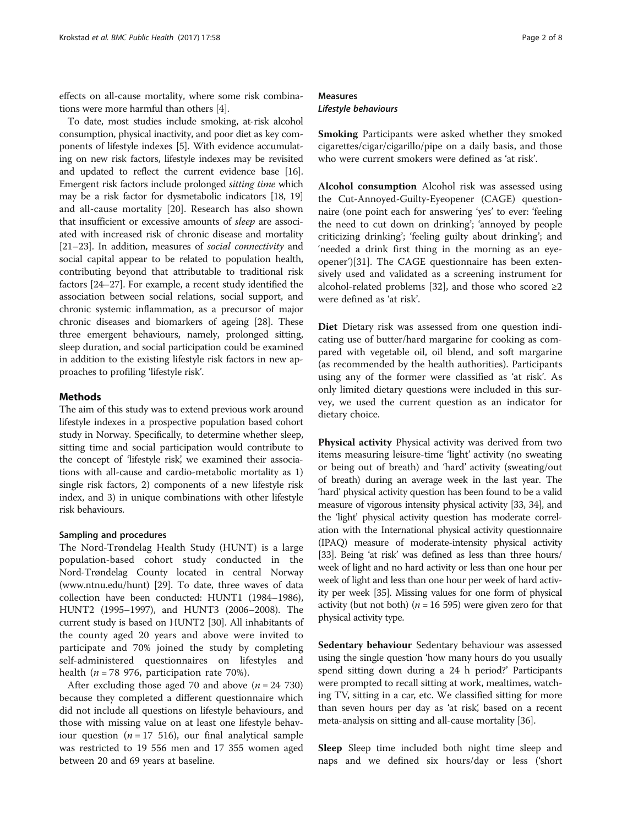effects on all-cause mortality, where some risk combinations were more harmful than others [[4\]](#page-6-0).

To date, most studies include smoking, at-risk alcohol consumption, physical inactivity, and poor diet as key components of lifestyle indexes [[5](#page-6-0)]. With evidence accumulating on new risk factors, lifestyle indexes may be revisited and updated to reflect the current evidence base [[16](#page-7-0)]. Emergent risk factors include prolonged sitting time which may be a risk factor for dysmetabolic indicators [\[18, 19](#page-7-0)] and all-cause mortality [[20\]](#page-7-0). Research has also shown that insufficient or excessive amounts of sleep are associated with increased risk of chronic disease and mortality [[21](#page-7-0)–[23\]](#page-7-0). In addition, measures of social connectivity and social capital appear to be related to population health, contributing beyond that attributable to traditional risk factors [[24](#page-7-0)–[27\]](#page-7-0). For example, a recent study identified the association between social relations, social support, and chronic systemic inflammation, as a precursor of major chronic diseases and biomarkers of ageing [[28](#page-7-0)]. These three emergent behaviours, namely, prolonged sitting, sleep duration, and social participation could be examined in addition to the existing lifestyle risk factors in new approaches to profiling 'lifestyle risk'.

## Methods

The aim of this study was to extend previous work around lifestyle indexes in a prospective population based cohort study in Norway. Specifically, to determine whether sleep, sitting time and social participation would contribute to the concept of 'lifestyle risk', we examined their associations with all-cause and cardio-metabolic mortality as 1) single risk factors, 2) components of a new lifestyle risk index, and 3) in unique combinations with other lifestyle risk behaviours.

## Sampling and procedures

The Nord-Trøndelag Health Study (HUNT) is a large population-based cohort study conducted in the Nord-Trøndelag County located in central Norway ([www.ntnu.edu/hunt](http://www.ntnu.edu/hunt)) [[29](#page-7-0)]. To date, three waves of data collection have been conducted: HUNT1 (1984–1986), HUNT2 (1995–1997), and HUNT3 (2006–2008). The current study is based on HUNT2 [\[30\]](#page-7-0). All inhabitants of the county aged 20 years and above were invited to participate and 70% joined the study by completing self-administered questionnaires on lifestyles and health ( $n = 78$  976, participation rate 70%).

After excluding those aged 70 and above  $(n = 24 \, 730)$ because they completed a different questionnaire which did not include all questions on lifestyle behaviours, and those with missing value on at least one lifestyle behaviour question ( $n = 17, 516$ ), our final analytical sample was restricted to 19 556 men and 17 355 women aged between 20 and 69 years at baseline.

## Measures Lifestyle behaviours

Smoking Participants were asked whether they smoked cigarettes/cigar/cigarillo/pipe on a daily basis, and those who were current smokers were defined as 'at risk'.

Alcohol consumption Alcohol risk was assessed using the Cut-Annoyed-Guilty-Eyeopener (CAGE) questionnaire (one point each for answering 'yes' to ever: 'feeling the need to cut down on drinking'; 'annoyed by people criticizing drinking'; 'feeling guilty about drinking'; and 'needed a drink first thing in the morning as an eyeopener')[\[31](#page-7-0)]. The CAGE questionnaire has been extensively used and validated as a screening instrument for alcohol-related problems [\[32\]](#page-7-0), and those who scored  $\geq 2$ were defined as 'at risk'.

Diet Dietary risk was assessed from one question indicating use of butter/hard margarine for cooking as compared with vegetable oil, oil blend, and soft margarine (as recommended by the health authorities). Participants using any of the former were classified as 'at risk'. As only limited dietary questions were included in this survey, we used the current question as an indicator for dietary choice.

Physical activity Physical activity was derived from two items measuring leisure-time 'light' activity (no sweating or being out of breath) and 'hard' activity (sweating/out of breath) during an average week in the last year. The 'hard' physical activity question has been found to be a valid measure of vigorous intensity physical activity [\[33](#page-7-0), [34\]](#page-7-0), and the 'light' physical activity question has moderate correlation with the International physical activity questionnaire (IPAQ) measure of moderate-intensity physical activity [[33](#page-7-0)]. Being 'at risk' was defined as less than three hours/ week of light and no hard activity or less than one hour per week of light and less than one hour per week of hard activity per week [[35](#page-7-0)]. Missing values for one form of physical activity (but not both) ( $n = 16595$ ) were given zero for that physical activity type.

Sedentary behaviour Sedentary behaviour was assessed using the single question 'how many hours do you usually spend sitting down during a 24 h period?' Participants were prompted to recall sitting at work, mealtimes, watching TV, sitting in a car, etc. We classified sitting for more than seven hours per day as 'at risk', based on a recent meta-analysis on sitting and all-cause mortality [\[36\]](#page-7-0).

Sleep Sleep time included both night time sleep and naps and we defined six hours/day or less ('short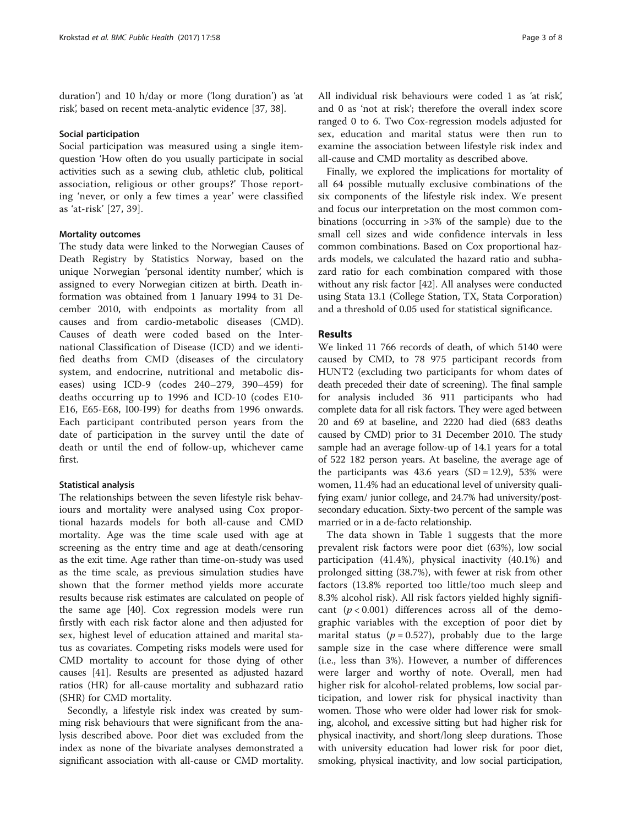duration') and 10 h/day or more ('long duration') as 'at risk', based on recent meta-analytic evidence [\[37, 38\]](#page-7-0).

#### Social participation

Social participation was measured using a single itemquestion 'How often do you usually participate in social activities such as a sewing club, athletic club, political association, religious or other groups?' Those reporting 'never, or only a few times a year' were classified as 'at-risk' [[27](#page-7-0), [39\]](#page-7-0).

## Mortality outcomes

The study data were linked to the Norwegian Causes of Death Registry by Statistics Norway, based on the unique Norwegian 'personal identity number', which is assigned to every Norwegian citizen at birth. Death information was obtained from 1 January 1994 to 31 December 2010, with endpoints as mortality from all causes and from cardio-metabolic diseases (CMD). Causes of death were coded based on the International Classification of Disease (ICD) and we identified deaths from CMD (diseases of the circulatory system, and endocrine, nutritional and metabolic diseases) using ICD-9 (codes 240–279, 390–459) for deaths occurring up to 1996 and ICD-10 (codes E10- E16, E65-E68, I00-I99) for deaths from 1996 onwards. Each participant contributed person years from the date of participation in the survey until the date of death or until the end of follow-up, whichever came first.

#### Statistical analysis

The relationships between the seven lifestyle risk behaviours and mortality were analysed using Cox proportional hazards models for both all-cause and CMD mortality. Age was the time scale used with age at screening as the entry time and age at death/censoring as the exit time. Age rather than time-on-study was used as the time scale, as previous simulation studies have shown that the former method yields more accurate results because risk estimates are calculated on people of the same age [[40\]](#page-7-0). Cox regression models were run firstly with each risk factor alone and then adjusted for sex, highest level of education attained and marital status as covariates. Competing risks models were used for CMD mortality to account for those dying of other causes [\[41](#page-7-0)]. Results are presented as adjusted hazard ratios (HR) for all-cause mortality and subhazard ratio (SHR) for CMD mortality.

Secondly, a lifestyle risk index was created by summing risk behaviours that were significant from the analysis described above. Poor diet was excluded from the index as none of the bivariate analyses demonstrated a significant association with all-cause or CMD mortality.

All individual risk behaviours were coded 1 as 'at risk', and 0 as 'not at risk'; therefore the overall index score ranged 0 to 6. Two Cox-regression models adjusted for sex, education and marital status were then run to examine the association between lifestyle risk index and all-cause and CMD mortality as described above.

Finally, we explored the implications for mortality of all 64 possible mutually exclusive combinations of the six components of the lifestyle risk index. We present and focus our interpretation on the most common combinations (occurring in >3% of the sample) due to the small cell sizes and wide confidence intervals in less common combinations. Based on Cox proportional hazards models, we calculated the hazard ratio and subhazard ratio for each combination compared with those without any risk factor [\[42\]](#page-7-0). All analyses were conducted using Stata 13.1 (College Station, TX, Stata Corporation) and a threshold of 0.05 used for statistical significance.

## **Results**

We linked 11 766 records of death, of which 5140 were caused by CMD, to 78 975 participant records from HUNT2 (excluding two participants for whom dates of death preceded their date of screening). The final sample for analysis included 36 911 participants who had complete data for all risk factors. They were aged between 20 and 69 at baseline, and 2220 had died (683 deaths caused by CMD) prior to 31 December 2010. The study sample had an average follow-up of 14.1 years for a total of 522 182 person years. At baseline, the average age of the participants was  $43.6$  years  $(SD = 12.9)$ , 53% were women, 11.4% had an educational level of university qualifying exam/ junior college, and 24.7% had university/postsecondary education. Sixty-two percent of the sample was married or in a de-facto relationship.

The data shown in Table [1](#page-3-0) suggests that the more prevalent risk factors were poor diet (63%), low social participation (41.4%), physical inactivity (40.1%) and prolonged sitting (38.7%), with fewer at risk from other factors (13.8% reported too little/too much sleep and 8.3% alcohol risk). All risk factors yielded highly significant  $(p < 0.001)$  differences across all of the demographic variables with the exception of poor diet by marital status ( $p = 0.527$ ), probably due to the large sample size in the case where difference were small (i.e., less than 3%). However, a number of differences were larger and worthy of note. Overall, men had higher risk for alcohol-related problems, low social participation, and lower risk for physical inactivity than women. Those who were older had lower risk for smoking, alcohol, and excessive sitting but had higher risk for physical inactivity, and short/long sleep durations. Those with university education had lower risk for poor diet, smoking, physical inactivity, and low social participation,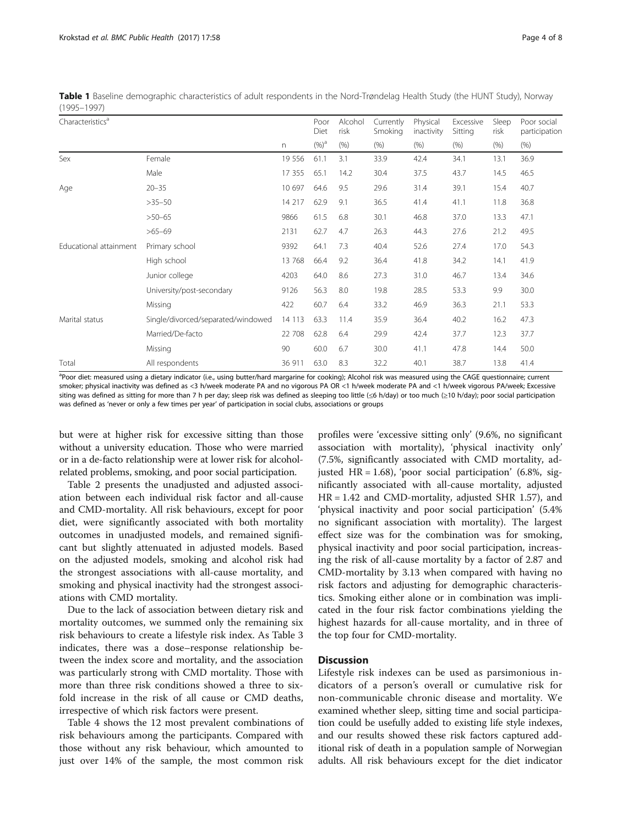| $(1222 - 1221)$              |                                    |          |                         |                         |                              |                        |                              |                       |                                      |
|------------------------------|------------------------------------|----------|-------------------------|-------------------------|------------------------------|------------------------|------------------------------|-----------------------|--------------------------------------|
| Characteristics <sup>a</sup> |                                    |          | Poor<br>Diet<br>$(%)^a$ | Alcohol<br>risk<br>(% ) | Currently<br>Smoking<br>(% ) | Physical<br>inactivity | Excessive<br>Sitting<br>(% ) | Sleep<br>risk<br>(% ) | Poor social<br>participation<br>(% ) |
|                              |                                    | n        |                         |                         |                              | (% )                   |                              |                       |                                      |
| Sex                          | Female                             | 19 5 5 6 | 61.1                    | 3.1                     | 33.9                         | 42.4                   | 34.1                         | 13.1                  | 36.9                                 |
|                              | Male                               | 17 355   | 65.1                    | 14.2                    | 30.4                         | 37.5                   | 43.7                         | 14.5                  | 46.5                                 |
| Age                          | $20 - 35$                          | 10 697   | 64.6                    | 9.5                     | 29.6                         | 31.4                   | 39.1                         | 15.4                  | 40.7                                 |
|                              | $>35-50$                           | 14 217   | 62.9                    | 9.1                     | 36.5                         | 41.4                   | 41.1                         | 11.8                  | 36.8                                 |
|                              | $>50 - 65$                         | 9866     | 61.5                    | 6.8                     | 30.1                         | 46.8                   | 37.0                         | 13.3                  | 47.1                                 |
|                              | $>65 - 69$                         | 2131     | 62.7                    | 4.7                     | 26.3                         | 44.3                   | 27.6                         | 21.2                  | 49.5                                 |
| Educational attainment       | Primary school                     | 9392     | 64.1                    | 7.3                     | 40.4                         | 52.6                   | 27.4                         | 17.0                  | 54.3                                 |
|                              | High school                        | 13 768   | 66.4                    | 9.2                     | 36.4                         | 41.8                   | 34.2                         | 14.1                  | 41.9                                 |
|                              | Junior college                     | 4203     | 64.0                    | 8.6                     | 27.3                         | 31.0                   | 46.7                         | 13.4                  | 34.6                                 |
|                              | University/post-secondary          | 9126     | 56.3                    | 8.0                     | 19.8                         | 28.5                   | 53.3                         | 9.9                   | 30.0                                 |
|                              | Missing                            | 422      | 60.7                    | 6.4                     | 33.2                         | 46.9                   | 36.3                         | 21.1                  | 53.3                                 |
| Marital status               | Single/divorced/separated/windowed | 14 1 13  | 63.3                    | 11.4                    | 35.9                         | 36.4                   | 40.2                         | 16.2                  | 47.3                                 |
|                              | Married/De-facto                   | 22 708   | 62.8                    | 6.4                     | 29.9                         | 42.4                   | 37.7                         | 12.3                  | 37.7                                 |
|                              | Missing                            | 90       | 60.0                    | 6.7                     | 30.0                         | 41.1                   | 47.8                         | 14.4                  | 50.0                                 |
| Total                        | All respondents                    | 36 911   | 63.0                    | 8.3                     | 32.2                         | 40.1                   | 38.7                         | 13.8                  | 41.4                                 |

<span id="page-3-0"></span>Table 1 Baseline demographic characteristics of adult respondents in the Nord-Trøndelag Health Study (the HUNT Study), Norway (1995–1997)

a<br>Poor diet: measured using a dietary indicator (i.e., using butter/hard margarine for cooking); Alcohol risk was measured using the CAGE questionnaire; current smoker; physical inactivity was defined as <3 h/week moderate PA and no vigorous PA OR <1 h/week moderate PA and <1 h/week vigorous PA/week; Excessive siting was defined as sitting for more than 7 h per day; sleep risk was defined as sleeping too little (≤6 h/day) or too much (≥10 h/day); poor social participation was defined as 'never or only a few times per year' of participation in social clubs, associations or groups

but were at higher risk for excessive sitting than those without a university education. Those who were married or in a de-facto relationship were at lower risk for alcoholrelated problems, smoking, and poor social participation.

Table [2](#page-4-0) presents the unadjusted and adjusted association between each individual risk factor and all-cause and CMD-mortality. All risk behaviours, except for poor diet, were significantly associated with both mortality outcomes in unadjusted models, and remained significant but slightly attenuated in adjusted models. Based on the adjusted models, smoking and alcohol risk had the strongest associations with all-cause mortality, and smoking and physical inactivity had the strongest associations with CMD mortality.

Due to the lack of association between dietary risk and mortality outcomes, we summed only the remaining six risk behaviours to create a lifestyle risk index. As Table [3](#page-4-0) indicates, there was a dose–response relationship between the index score and mortality, and the association was particularly strong with CMD mortality. Those with more than three risk conditions showed a three to sixfold increase in the risk of all cause or CMD deaths, irrespective of which risk factors were present.

Table [4](#page-5-0) shows the 12 most prevalent combinations of risk behaviours among the participants. Compared with those without any risk behaviour, which amounted to just over 14% of the sample, the most common risk

profiles were 'excessive sitting only' (9.6%, no significant association with mortality), 'physical inactivity only' (7.5%, significantly associated with CMD mortality, adjusted HR = 1.68), 'poor social participation' (6.8%, significantly associated with all-cause mortality, adjusted HR = 1.42 and CMD-mortality, adjusted SHR 1.57), and 'physical inactivity and poor social participation' (5.4% no significant association with mortality). The largest effect size was for the combination was for smoking, physical inactivity and poor social participation, increasing the risk of all-cause mortality by a factor of 2.87 and CMD-mortality by 3.13 when compared with having no risk factors and adjusting for demographic characteristics. Smoking either alone or in combination was implicated in the four risk factor combinations yielding the highest hazards for all-cause mortality, and in three of the top four for CMD-mortality.

## **Discussion**

Lifestyle risk indexes can be used as parsimonious indicators of a person's overall or cumulative risk for non-communicable chronic disease and mortality. We examined whether sleep, sitting time and social participation could be usefully added to existing life style indexes, and our results showed these risk factors captured additional risk of death in a population sample of Norwegian adults. All risk behaviours except for the diet indicator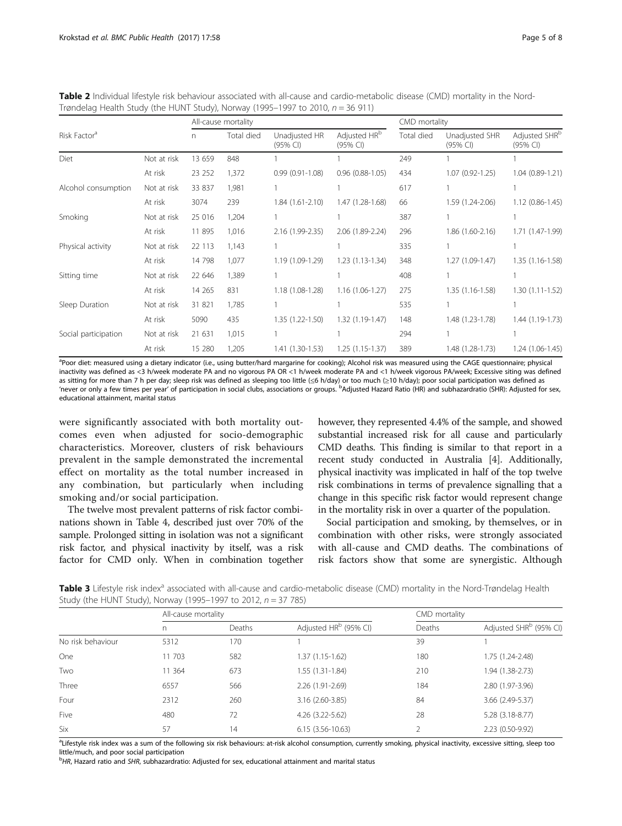|                          |             |         | All-cause mortality |                                     | CMD mortality                        |            |                              |                                       |
|--------------------------|-------------|---------|---------------------|-------------------------------------|--------------------------------------|------------|------------------------------|---------------------------------------|
| Risk Factor <sup>a</sup> |             | n.      | Total died<br>848   | Unadjusted HR<br>$(95% \text{ Cl})$ | Adjusted HR <sup>b</sup><br>(95% CI) | Total died | Unadjusted SHR<br>$(95%$ CI) | Adjusted SHR <sup>b</sup><br>(95% CI) |
| Diet                     | Not at risk | 13 659  |                     |                                     |                                      | 249        |                              |                                       |
|                          | At risk     | 23 25 2 | 1,372               | $0.99(0.91 - 1.08)$                 | $0.96(0.88-1.05)$                    | 434        | $1.07(0.92 - 1.25)$          | 1.04 (0.89-1.21)                      |
| Alcohol consumption      | Not at risk | 33 837  | 1,981               |                                     |                                      | 617        |                              |                                       |
|                          | At risk     | 3074    | 239                 | $1.84(1.61-2.10)$                   | 1.47 (1.28-1.68)                     | 66         | 1.59 (1.24-2.06)             | $1.12(0.86 - 1.45)$                   |
| Smoking                  | Not at risk | 25 016  | 1,204               |                                     |                                      | 387        |                              |                                       |
|                          | At risk     | 11 895  | 1,016               | 2.16 (1.99-2.35)                    | 2.06 (1.89-2.24)                     | 296        | 1.86 (1.60-2.16)             | 1.71 (1.47-1.99)                      |
| Physical activity        | Not at risk | 22 113  | 1,143               |                                     |                                      | 335        |                              |                                       |
|                          | At risk     | 14 798  | 1,077               | 1.19 (1.09-1.29)                    | $1.23(1.13-1.34)$                    | 348        | $1.27(1.09-1.47)$            | 1.35 (1.16-1.58)                      |
| Sitting time             | Not at risk | 22 646  | 1,389               |                                     |                                      | 408        |                              |                                       |
|                          | At risk     | 14 2 65 | 831                 | 1.18 (1.08-1.28)                    | $1.16(1.06-1.27)$                    | 275        | $1.35(1.16-1.58)$            | $1.30(1.11-1.52)$                     |
| Sleep Duration           | Not at risk | 31 821  | 1,785               |                                     |                                      | 535        |                              |                                       |
|                          | At risk     | 5090    | 435                 | $1.35(1.22 - 1.50)$                 | 1.32 (1.19-1.47)                     | 148        | 1.48 (1.23-1.78)             | 1.44 (1.19-1.73)                      |
| Social participation     | Not at risk | 21 631  | 1,015               |                                     |                                      | 294        |                              |                                       |
|                          | At risk     | 15 280  | 1,205               | $1.41(1.30-1.53)$                   | $1.25(1.15-1.37)$                    | 389        | 1.48 (1.28-1.73)             | $1.24(1.06-1.45)$                     |

<span id="page-4-0"></span>Table 2 Individual lifestyle risk behaviour associated with all-cause and cardio-metabolic disease (CMD) mortality in the Nord-Trøndelag Health Study (the HUNT Study), Norway (1995–1997 to 2010,  $n = 36$  911)

<sup>a</sup>Poor diet: measured using a dietary indicator (i.e., using butter/hard margarine for cooking); Alcohol risk was measured using the CAGE questionnaire; physical inactivity was defined as <3 h/week moderate PA and no vigorous PA OR <1 h/week moderate PA and <1 h/week vigorous PA/week; Excessive siting was defined as sitting for more than 7 h per day; sleep risk was defined as sleeping too little (≤6 h/day) or too much (≥10 h/day); poor social participation was defined as 'never or only a few times per year' of participation in social clubs, associations or groups. <sup>b</sup>Adjusted Hazard Ratio (HR) and subhazardratio (SHR): Adjusted for sex educational attainment, marital status

were significantly associated with both mortality outcomes even when adjusted for socio-demographic characteristics. Moreover, clusters of risk behaviours prevalent in the sample demonstrated the incremental effect on mortality as the total number increased in any combination, but particularly when including smoking and/or social participation.

The twelve most prevalent patterns of risk factor combinations shown in Table [4](#page-5-0), described just over 70% of the sample. Prolonged sitting in isolation was not a significant risk factor, and physical inactivity by itself, was a risk factor for CMD only. When in combination together however, they represented 4.4% of the sample, and showed substantial increased risk for all cause and particularly CMD deaths. This finding is similar to that report in a recent study conducted in Australia [\[4](#page-6-0)]. Additionally, physical inactivity was implicated in half of the top twelve risk combinations in terms of prevalence signalling that a change in this specific risk factor would represent change in the mortality risk in over a quarter of the population.

Social participation and smoking, by themselves, or in combination with other risks, were strongly associated with all-cause and CMD deaths. The combinations of risk factors show that some are synergistic. Although

Table 3 Lifestyle risk index<sup>a</sup> associated with all-cause and cardio-metabolic disease (CMD) mortality in the Nord-Trøndelag Health Study (the HUNT Study), Norway (1995–1997 to 2012, n = 37 785)

|                   | All-cause mortality |        |                                   | CMD mortality |                                    |  |
|-------------------|---------------------|--------|-----------------------------------|---------------|------------------------------------|--|
|                   | n                   | Deaths | Adjusted HR <sup>b</sup> (95% CI) | Deaths        | Adjusted SHR <sup>b</sup> (95% CI) |  |
| No risk behaviour | 5312                | 170    |                                   | 39            |                                    |  |
| One               | 11 703              | 582    | 1.37 (1.15-1.62)                  | 180           | 1.75 (1.24-2.48)                   |  |
| Two               | 11 364              | 673    | 1.55 (1.31-1.84)                  | 210           | 1.94 (1.38-2.73)                   |  |
| Three             | 6557                | 566    | 2.26 (1.91-2.69)                  | 184           | 2.80 (1.97-3.96)                   |  |
| Four              | 2312                | 260    | 3.16 (2.60-3.85)                  | 84            | 3.66 (2.49-5.37)                   |  |
| Five              | 480                 | 72     | 4.26 (3.22-5.62)                  | 28            | 5.28 (3.18-8.77)                   |  |
| Six               | 57                  | 14     | $6.15(3.56-10.63)$                |               | 2.23 (0.50-9.92)                   |  |

<sup>a</sup>Lifestyle risk index was a sum of the following six risk behaviours: at-risk alcohol consumption, currently smoking, physical inactivity, excessive sitting, sleep toc little/much, and poor social participation

<sup>b</sup>HR, Hazard ratio and SHR, subhazardratio: Adjusted for sex, educational attainment and marital status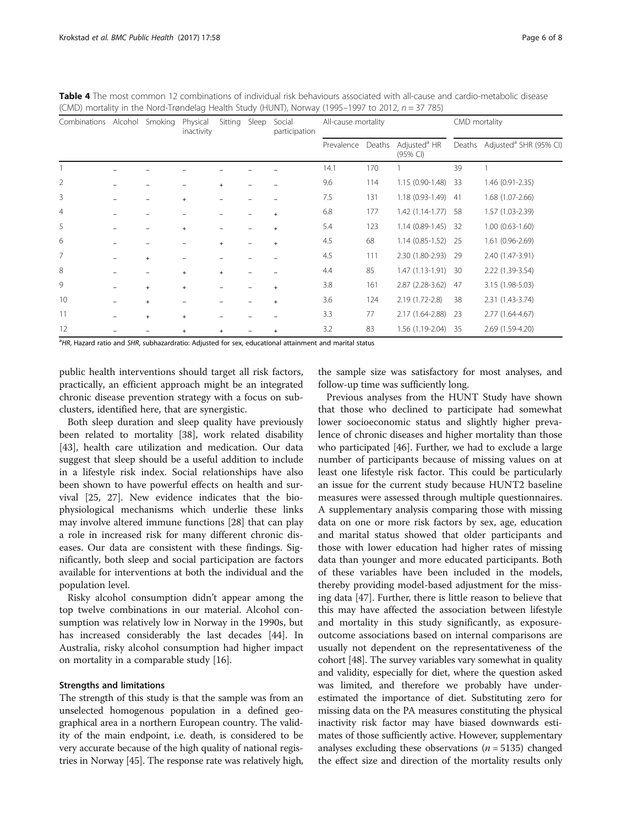| Combinations Alcohol Smoking |   |           | Physical<br>inactivity | Sitting Sleep | Social<br>participation | All-cause mortality |        |                                        | CMD mortality |                                           |
|------------------------------|---|-----------|------------------------|---------------|-------------------------|---------------------|--------|----------------------------------------|---------------|-------------------------------------------|
|                              |   |           |                        |               |                         | Prevalence          | Deaths | Adjusted <sup>a</sup> HR<br>$(95%$ CI) |               | Deaths Adjusted <sup>a</sup> SHR (95% CI) |
|                              |   |           |                        |               |                         | 14.1                | 170    |                                        | 39            |                                           |
| $\overline{2}$               |   |           |                        | $+$           |                         | 9.6                 | 114    | $1.15(0.90-1.48)$                      | 33            | 1.46 (0.91-2.35)                          |
| 3                            |   |           | $+$                    |               |                         | 7.5                 | 131    | $1.18(0.93 - 1.49)$                    | -41           | 1.68 (1.07-2.66)                          |
| 4                            |   |           |                        |               |                         | 6.8                 | 177    | $1.42(1.14-1.77)$                      | 58            | 1.57 (1.03-2.39)                          |
| 5                            |   |           | $+$                    |               | $\ddot{}$               | 5.4                 | 123    | $1.14(0.89-1.45)$ 32                   |               | $1.00(0.63 - 1.60)$                       |
| 6                            |   |           |                        | $+$           | $\ddot{}$               | 4.5                 | 68     | $1.14(0.85-1.52)$                      | -25           | 1.61 (0.96-2.69)                          |
| 7                            |   | $+$       |                        |               |                         | 4.5                 | 111    | 2.30 (1.80-2.93)                       | -29           | 2.40 (1.47-3.91)                          |
| 8                            |   |           | $+$                    | $+$           |                         | 4.4                 | 85     | $1.47(1.13-1.91)$                      | 30            | 2.22 (1.39-3.54)                          |
| 9                            |   | $+$       | $+$                    |               | $+$                     | 3.8                 | 161    | $2.87(2.28-3.62)$                      | 47            | 3.15 (1.98-5.03)                          |
| 10                           |   | $\ddot{}$ |                        |               | $\ddot{}$               | 3.6                 | 124    | 2.19 (1.72-2.8)                        | 38            | 2.31 (1.43-3.74)                          |
| 11                           | - | $\ddot{}$ | $+$                    |               |                         | 3.3                 | 77     | 2.17 (1.64-2.88)                       | 23            | 2.77 (1.64-4.67)                          |
| 12                           |   |           | $\ddot{}$              |               | $\pm$                   | 3.2                 | 83     | 1.56 (1.19-2.04)                       | -35           | 2.69 (1.59-4.20)                          |

<span id="page-5-0"></span>Table 4 The most common 12 combinations of individual risk behaviours associated with all-cause and cardio-metabolic disease  $(CMD)$  mortality in the Nord-Trøndelag Health Study (HUNT), Norway (1995–1997 to 2012,  $n = 37,785$ )

<sup>a</sup>HR, Hazard ratio and SHR, subhazardratio: Adjusted for sex, educational attainment and marital status

public health interventions should target all risk factors, practically, an efficient approach might be an integrated chronic disease prevention strategy with a focus on subclusters, identified here, that are synergistic.

Both sleep duration and sleep quality have previously been related to mortality [\[38](#page-7-0)], work related disability [[43\]](#page-7-0), health care utilization and medication. Our data suggest that sleep should be a useful addition to include in a lifestyle risk index. Social relationships have also been shown to have powerful effects on health and survival [[25](#page-7-0), [27\]](#page-7-0). New evidence indicates that the biophysiological mechanisms which underlie these links may involve altered immune functions [\[28](#page-7-0)] that can play a role in increased risk for many different chronic diseases. Our data are consistent with these findings. Significantly, both sleep and social participation are factors available for interventions at both the individual and the population level.

Risky alcohol consumption didn't appear among the top twelve combinations in our material. Alcohol consumption was relatively low in Norway in the 1990s, but has increased considerably the last decades [\[44](#page-7-0)]. In Australia, risky alcohol consumption had higher impact on mortality in a comparable study [[16\]](#page-7-0).

#### Strengths and limitations

The strength of this study is that the sample was from an unselected homogenous population in a defined geographical area in a northern European country. The validity of the main endpoint, i.e. death, is considered to be very accurate because of the high quality of national registries in Norway [[45](#page-7-0)]. The response rate was relatively high,

the sample size was satisfactory for most analyses, and follow-up time was sufficiently long.

Previous analyses from the HUNT Study have shown that those who declined to participate had somewhat lower socioeconomic status and slightly higher prevalence of chronic diseases and higher mortality than those who participated [[46\]](#page-7-0). Further, we had to exclude a large number of participants because of missing values on at least one lifestyle risk factor. This could be particularly an issue for the current study because HUNT2 baseline measures were assessed through multiple questionnaires. A supplementary analysis comparing those with missing data on one or more risk factors by sex, age, education and marital status showed that older participants and those with lower education had higher rates of missing data than younger and more educated participants. Both of these variables have been included in the models, thereby providing model-based adjustment for the missing data [[47](#page-7-0)]. Further, there is little reason to believe that this may have affected the association between lifestyle and mortality in this study significantly, as exposureoutcome associations based on internal comparisons are usually not dependent on the representativeness of the cohort [[48](#page-7-0)]. The survey variables vary somewhat in quality and validity, especially for diet, where the question asked was limited, and therefore we probably have underestimated the importance of diet. Substituting zero for missing data on the PA measures constituting the physical inactivity risk factor may have biased downwards estimates of those sufficiently active. However, supplementary analyses excluding these observations ( $n = 5135$ ) changed the effect size and direction of the mortality results only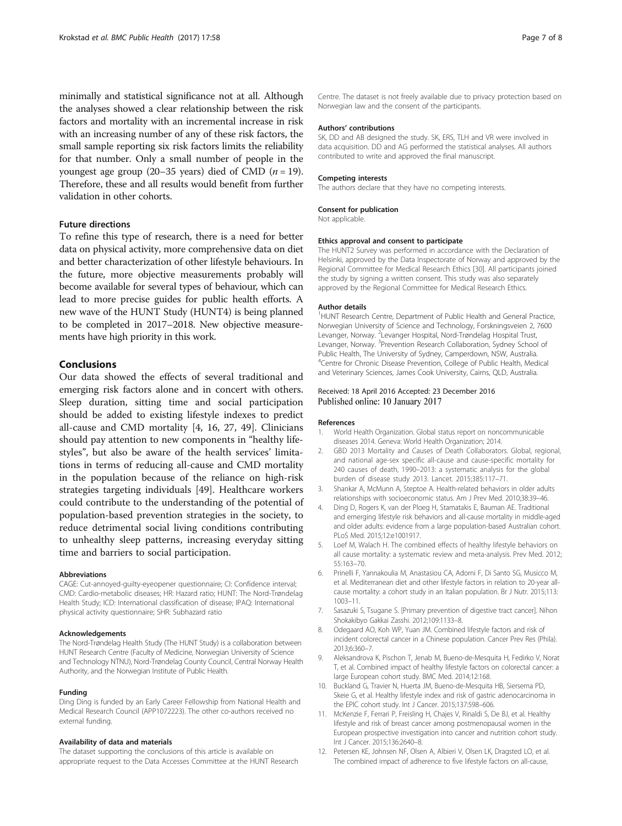<span id="page-6-0"></span>minimally and statistical significance not at all. Although the analyses showed a clear relationship between the risk factors and mortality with an incremental increase in risk with an increasing number of any of these risk factors, the small sample reporting six risk factors limits the reliability for that number. Only a small number of people in the youngest age group (20–35 years) died of CMD ( $n = 19$ ). Therefore, these and all results would benefit from further validation in other cohorts.

## Future directions

To refine this type of research, there is a need for better data on physical activity, more comprehensive data on diet and better characterization of other lifestyle behaviours. In the future, more objective measurements probably will become available for several types of behaviour, which can lead to more precise guides for public health efforts. A new wave of the HUNT Study (HUNT4) is being planned to be completed in 2017–2018. New objective measurements have high priority in this work.

## Conclusions

Our data showed the effects of several traditional and emerging risk factors alone and in concert with others. Sleep duration, sitting time and social participation should be added to existing lifestyle indexes to predict all-cause and CMD mortality [4, [16](#page-7-0), [27, 49\]](#page-7-0). Clinicians should pay attention to new components in "healthy lifestyles", but also be aware of the health services' limitations in terms of reducing all-cause and CMD mortality in the population because of the reliance on high-risk strategies targeting individuals [\[49](#page-7-0)]. Healthcare workers could contribute to the understanding of the potential of population-based prevention strategies in the society, to reduce detrimental social living conditions contributing to unhealthy sleep patterns, increasing everyday sitting time and barriers to social participation.

#### Abbreviations

CAGE: Cut-annoyed-guilty-eyeopener questionnaire; CI: Confidence interval; CMD: Cardio-metabolic diseases; HR: Hazard ratio; HUNT: The Nord-Trøndelag Health Study; ICD: International classification of disease; IPAQ: International physical activity questionnaire; SHR: Subhazard ratio

#### Acknowledgements

The Nord-Trøndelag Health Study (The HUNT Study) is a collaboration between HUNT Research Centre (Faculty of Medicine, Norwegian University of Science and Technology NTNU), Nord-Trøndelag County Council, Central Norway Health Authority, and the Norwegian Institute of Public Health.

#### Funding

Ding Ding is funded by an Early Career Fellowship from National Health and Medical Research Council (APP1072223). The other co-authors received no external funding.

#### Availability of data and materials

The dataset supporting the conclusions of this article is available on appropriate request to the Data Accesses Committee at the HUNT Research Centre. The dataset is not freely available due to privacy protection based on Norwegian law and the consent of the participants.

#### Authors' contributions

SK, DD and AB designed the study. SK, ERS, TLH and VR were involved in data acquisition. DD and AG performed the statistical analyses. All authors contributed to write and approved the final manuscript.

#### Competing interests

The authors declare that they have no competing interests.

#### Consent for publication

Not applicable.

#### Ethics approval and consent to participate

The HUNT2 Survey was performed in accordance with the Declaration of Helsinki, approved by the Data Inspectorate of Norway and approved by the Regional Committee for Medical Research Ethics [[30](#page-7-0)]. All participants joined the study by signing a written consent. This study was also separately approved by the Regional Committee for Medical Research Ethics.

#### Author details

<sup>1</sup>HUNT Research Centre, Department of Public Health and General Practice, Norwegian University of Science and Technology, Forskningsveien 2, 7600 Levanger, Norway. <sup>2</sup>Levanger Hospital, Nord-Trøndelag Hospital Trust, Levanger, Norway. <sup>3</sup>Prevention Research Collaboration, Sydney School of Public Health, The University of Sydney, Camperdown, NSW, Australia. <sup>4</sup>Centre for Chronic Disease Prevention, College of Public Health, Medical and Veterinary Sciences, James Cook University, Cairns, QLD, Australia.

### Received: 18 April 2016 Accepted: 23 December 2016 Published online: 10 January 2017

#### References

- 1. World Health Organization. Global status report on noncommunicable diseases 2014. Geneva: World Health Organization; 2014.
- 2. GBD 2013 Mortality and Causes of Death Collaborators. Global, regional, and national age-sex specific all-cause and cause-specific mortality for 240 causes of death, 1990–2013: a systematic analysis for the global burden of disease study 2013. Lancet. 2015;385:117–71.
- 3. Shankar A, McMunn A, Steptoe A. Health-related behaviors in older adults relationships with socioeconomic status. Am J Prev Med. 2010;38:39–46.
- 4. Ding D, Rogers K, van der Ploeg H, Stamatakis E, Bauman AE. Traditional and emerging lifestyle risk behaviors and all-cause mortality in middle-aged and older adults: evidence from a large population-based Australian cohort. PLoS Med. 2015;12:e1001917.
- 5. Loef M, Walach H. The combined effects of healthy lifestyle behaviors on all cause mortality: a systematic review and meta-analysis. Prev Med. 2012; 55:163–70.
- 6. Prinelli F, Yannakoulia M, Anastasiou CA, Adorni F, Di Santo SG, Musicco M, et al. Mediterranean diet and other lifestyle factors in relation to 20-year allcause mortality: a cohort study in an Italian population. Br J Nutr. 2015;113: 1003–11.
- 7. Sasazuki S, Tsugane S. [Primary prevention of digestive tract cancer]. Nihon Shokakibyo Gakkai Zasshi. 2012;109:1133–8.
- 8. Odegaard AO, Koh WP, Yuan JM. Combined lifestyle factors and risk of incident colorectal cancer in a Chinese population. Cancer Prev Res (Phila). 2013;6:360–7.
- 9. Aleksandrova K, Pischon T, Jenab M, Bueno-de-Mesquita H, Fedirko V, Norat T, et al. Combined impact of healthy lifestyle factors on colorectal cancer: a large European cohort study. BMC Med. 2014;12:168.
- 10. Buckland G, Travier N, Huerta JM, Bueno-de-Mesquita HB, Siersema PD, Skeie G, et al. Healthy lifestyle index and risk of gastric adenocarcinoma in the EPIC cohort study. Int J Cancer. 2015;137:598–606.
- 11. McKenzie F, Ferrari P, Freisling H, Chajes V, Rinaldi S, De BJ, et al. Healthy lifestyle and risk of breast cancer among postmenopausal women in the European prospective investigation into cancer and nutrition cohort study. Int J Cancer. 2015;136:2640–8.
- 12. Petersen KE, Johnsen NF, Olsen A, Albieri V, Olsen LK, Dragsted LO, et al. The combined impact of adherence to five lifestyle factors on all-cause,